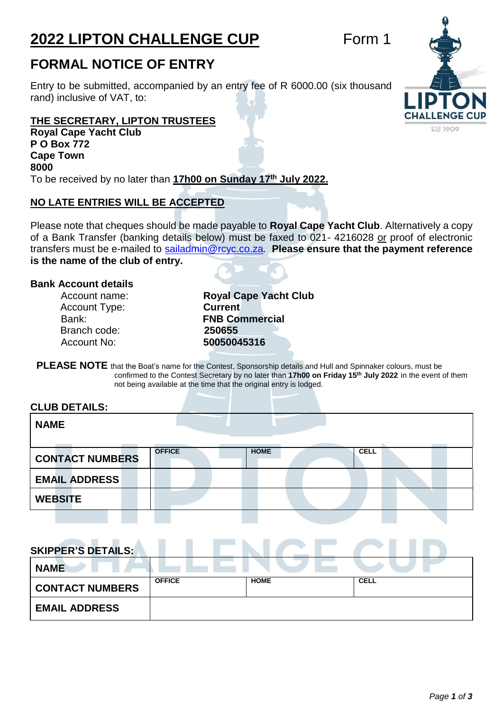# **2022 LIPTON CHALLENGE CUP** Form 1

# **FORMAL NOTICE OF ENTRY**

Entry to be submitted, accompanied by an entry fee of R 6000.00 (six thousand rand) inclusive of VAT, to:

## **THE SECRETARY, LIPTON TRUSTEES**

**Royal Cape Yacht Club P O Box 772 Cape Town 8000** To be received by no later than **17h00 on Sunday 17th July 2022.**

# **NO LATE ENTRIES WILL BE ACCEPTED**

Please note that cheques should be made payable to **Royal Cape Yacht Club**. Alternatively a copy of a Bank Transfer (banking details below) must be faxed to 021- 4216028 or proof of electronic transfers must be e-mailed to [sailadmin@rcyc.co.za](mailto:sailadmin@rcyc.co.za)*.* **Please ensure that the payment reference is the name of the club of entry.**

## **Bank Account details**

Account Type: **Current** Branch code: **250655** Account No: **50050045316**

Account name: **Royal Cape Yacht Club**  Bank: **FNB Commercial** 

**PLEASE NOTE** that the Boat's name for the Contest, Sponsorship details and Hull and Spinnaker colours, must be confirmed to the Contest Secretary by no later than **17h00 on Friday 15 th July 2022** in the event of them not being available at the time that the original entry is lodged.

### **CLUB DETAILS:**

| <b>NAME</b>            |               |             |             |
|------------------------|---------------|-------------|-------------|
| <b>CONTACT NUMBERS</b> | <b>OFFICE</b> | <b>HOME</b> | <b>CELL</b> |
| <b>EMAIL ADDRESS</b>   |               |             |             |
| <b>WEBSITE</b>         |               |             |             |
|                        |               |             |             |

# **SKIPPER'S DETAILS:**

| <b>NAME</b>            |               |             |             |
|------------------------|---------------|-------------|-------------|
| <b>CONTACT NUMBERS</b> | <b>OFFICE</b> | <b>HOME</b> | <b>CELL</b> |
| <b>EMAIL ADDRESS</b>   |               |             |             |

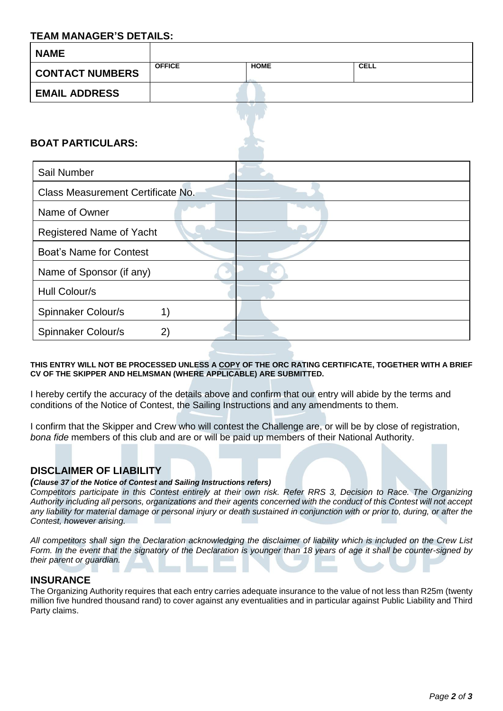# **TEAM MANAGER'S DETAILS:**

| I LAIII IIIAINVULI\ V DL I AILV.  |               |             |             |
|-----------------------------------|---------------|-------------|-------------|
| <b>NAME</b>                       |               |             |             |
| <b>CONTACT NUMBERS</b>            | <b>OFFICE</b> | <b>HOME</b> | <b>CELL</b> |
| <b>EMAIL ADDRESS</b>              |               |             |             |
|                                   |               |             |             |
| <b>BOAT PARTICULARS:</b>          |               |             |             |
|                                   |               |             |             |
| Sail Number                       |               |             |             |
| Class Measurement Certificate No. |               |             |             |
| Name of Owner                     |               |             |             |
| Registered Name of Yacht          |               |             |             |
| <b>Boat's Name for Contest</b>    |               |             |             |
| Name of Sponsor (if any)          |               |             |             |
| Hull Colour/s                     |               |             |             |
| Spinnaker Colour/s                | 1)            |             |             |
| Spinnaker Colour/s                | 2)            |             |             |

### **THIS ENTRY WILL NOT BE PROCESSED UNLESS A COPY OF THE ORC RATING CERTIFICATE, TOGETHER WITH A BRIEF CV OF THE SKIPPER AND HELMSMAN (WHERE APPLICABLE) ARE SUBMITTED.**

I hereby certify the accuracy of the details above and confirm that our entry will abide by the terms and conditions of the Notice of Contest, the Sailing Instructions and any amendments to them.

I confirm that the Skipper and Crew who will contest the Challenge are, or will be by close of registration, *bona fide* members of this club and are or will be paid up members of their National Authority.

## **DISCLAIMER OF LIABILITY**

### *(Clause 37 of the Notice of Contest and Sailing Instructions refers)*

Competitors participate in this Contest entirely at their own risk. Refer RRS 3, Decision to Race. The Organizing Authority including all persons, organizations and their agents concerned with the conduct of this Contest will not accept any liability for material damage or personal injury or death sustained in conjunction with or prior to, during, or after the *Contest, however arising.*

All competitors shall sign the Declaration acknowledging the disclaimer of liability which is included on the Crew List Form. In the event that the signatory of the Declaration is younger than 18 years of age it shall be counter-signed by *their parent or guardian.*

### **INSURANCE**

The Organizing Authority requires that each entry carries adequate insurance to the value of not less than R25m (twenty million five hundred thousand rand) to cover against any eventualities and in particular against Public Liability and Third Party claims.